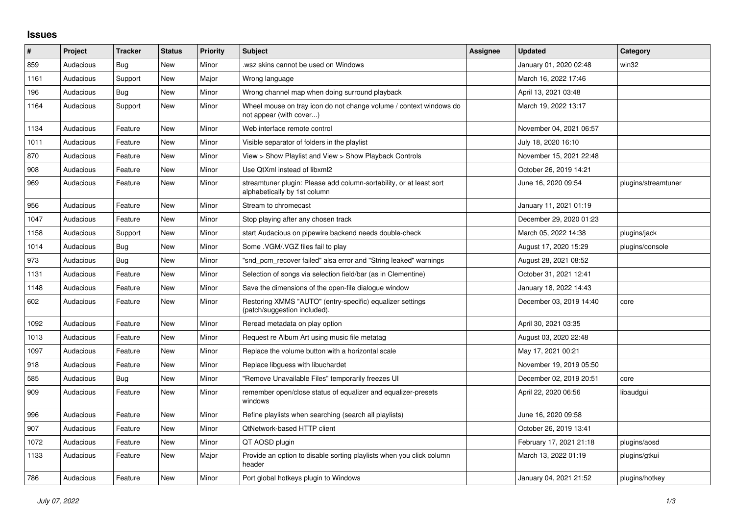## **Issues**

| #    | Project   | Tracker | <b>Status</b> | <b>Priority</b> | <b>Subject</b>                                                                                      | <b>Assignee</b> | <b>Updated</b>          | Category            |
|------|-----------|---------|---------------|-----------------|-----------------------------------------------------------------------------------------------------|-----------------|-------------------------|---------------------|
| 859  | Audacious | Bug     | New           | Minor           | wsz skins cannot be used on Windows                                                                 |                 | January 01, 2020 02:48  | win32               |
| 1161 | Audacious | Support | New           | Major           | Wrong language                                                                                      |                 | March 16, 2022 17:46    |                     |
| 196  | Audacious | Bug     | New           | Minor           | Wrong channel map when doing surround playback                                                      |                 | April 13, 2021 03:48    |                     |
| 1164 | Audacious | Support | New           | Minor           | Wheel mouse on tray icon do not change volume / context windows do<br>not appear (with cover)       |                 | March 19, 2022 13:17    |                     |
| 1134 | Audacious | Feature | New           | Minor           | Web interface remote control                                                                        |                 | November 04, 2021 06:57 |                     |
| 1011 | Audacious | Feature | New           | Minor           | Visible separator of folders in the playlist                                                        |                 | July 18, 2020 16:10     |                     |
| 870  | Audacious | Feature | New           | Minor           | View > Show Playlist and View > Show Playback Controls                                              |                 | November 15, 2021 22:48 |                     |
| 908  | Audacious | Feature | New           | Minor           | Use QtXml instead of libxml2                                                                        |                 | October 26, 2019 14:21  |                     |
| 969  | Audacious | Feature | New           | Minor           | streamtuner plugin: Please add column-sortability, or at least sort<br>alphabetically by 1st column |                 | June 16, 2020 09:54     | plugins/streamtuner |
| 956  | Audacious | Feature | <b>New</b>    | Minor           | Stream to chromecast                                                                                |                 | January 11, 2021 01:19  |                     |
| 1047 | Audacious | Feature | New           | Minor           | Stop playing after any chosen track                                                                 |                 | December 29, 2020 01:23 |                     |
| 1158 | Audacious | Support | New           | Minor           | start Audacious on pipewire backend needs double-check                                              |                 | March 05, 2022 14:38    | plugins/jack        |
| 1014 | Audacious | Bug     | New           | Minor           | Some . VGM/. VGZ files fail to play                                                                 |                 | August 17, 2020 15:29   | plugins/console     |
| 973  | Audacious | Bug     | New           | Minor           | "snd pcm recover failed" alsa error and "String leaked" warnings                                    |                 | August 28, 2021 08:52   |                     |
| 1131 | Audacious | Feature | New           | Minor           | Selection of songs via selection field/bar (as in Clementine)                                       |                 | October 31, 2021 12:41  |                     |
| 1148 | Audacious | Feature | New           | Minor           | Save the dimensions of the open-file dialogue window                                                |                 | January 18, 2022 14:43  |                     |
| 602  | Audacious | Feature | New           | Minor           | Restoring XMMS "AUTO" (entry-specific) equalizer settings<br>(patch/suggestion included).           |                 | December 03, 2019 14:40 | core                |
| 1092 | Audacious | Feature | <b>New</b>    | Minor           | Reread metadata on play option                                                                      |                 | April 30, 2021 03:35    |                     |
| 1013 | Audacious | Feature | <b>New</b>    | Minor           | Request re Album Art using music file metatag                                                       |                 | August 03, 2020 22:48   |                     |
| 1097 | Audacious | Feature | New           | Minor           | Replace the volume button with a horizontal scale                                                   |                 | May 17, 2021 00:21      |                     |
| 918  | Audacious | Feature | New           | Minor           | Replace libguess with libuchardet                                                                   |                 | November 19, 2019 05:50 |                     |
| 585  | Audacious | Bug     | New           | Minor           | "Remove Unavailable Files" temporarily freezes UI                                                   |                 | December 02, 2019 20:51 | core                |
| 909  | Audacious | Feature | New           | Minor           | remember open/close status of equalizer and equalizer-presets<br>windows                            |                 | April 22, 2020 06:56    | libaudgui           |
| 996  | Audacious | Feature | New           | Minor           | Refine playlists when searching (search all playlists)                                              |                 | June 16, 2020 09:58     |                     |
| 907  | Audacious | Feature | <b>New</b>    | Minor           | QtNetwork-based HTTP client                                                                         |                 | October 26, 2019 13:41  |                     |
| 1072 | Audacious | Feature | New           | Minor           | QT AOSD plugin                                                                                      |                 | February 17, 2021 21:18 | plugins/aosd        |
| 1133 | Audacious | Feature | New           | Major           | Provide an option to disable sorting playlists when you click column<br>header                      |                 | March 13, 2022 01:19    | plugins/gtkui       |
| 786  | Audacious | Feature | <b>New</b>    | Minor           | Port global hotkeys plugin to Windows                                                               |                 | January 04, 2021 21:52  | plugins/hotkey      |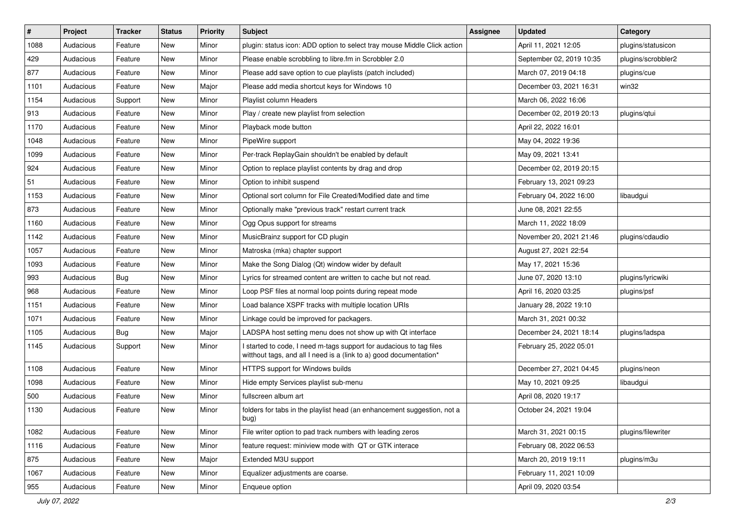| $\#$ | Project   | <b>Tracker</b> | <b>Status</b> | <b>Priority</b> | <b>Subject</b>                                                                                                                            | <b>Assignee</b> | <b>Updated</b>           | Category           |
|------|-----------|----------------|---------------|-----------------|-------------------------------------------------------------------------------------------------------------------------------------------|-----------------|--------------------------|--------------------|
| 1088 | Audacious | Feature        | New           | Minor           | plugin: status icon: ADD option to select tray mouse Middle Click action                                                                  |                 | April 11, 2021 12:05     | plugins/statusicon |
| 429  | Audacious | Feature        | New           | Minor           | Please enable scrobbling to libre.fm in Scrobbler 2.0                                                                                     |                 | September 02, 2019 10:35 | plugins/scrobbler2 |
| 877  | Audacious | Feature        | New           | Minor           | Please add save option to cue playlists (patch included)                                                                                  |                 | March 07, 2019 04:18     | plugins/cue        |
| 1101 | Audacious | Feature        | New           | Major           | Please add media shortcut keys for Windows 10                                                                                             |                 | December 03, 2021 16:31  | win32              |
| 1154 | Audacious | Support        | New           | Minor           | Playlist column Headers                                                                                                                   |                 | March 06, 2022 16:06     |                    |
| 913  | Audacious | Feature        | New           | Minor           | Play / create new playlist from selection                                                                                                 |                 | December 02, 2019 20:13  | plugins/qtui       |
| 1170 | Audacious | Feature        | New           | Minor           | Playback mode button                                                                                                                      |                 | April 22, 2022 16:01     |                    |
| 1048 | Audacious | Feature        | New           | Minor           | PipeWire support                                                                                                                          |                 | May 04, 2022 19:36       |                    |
| 1099 | Audacious | Feature        | New           | Minor           | Per-track ReplayGain shouldn't be enabled by default                                                                                      |                 | May 09, 2021 13:41       |                    |
| 924  | Audacious | Feature        | New           | Minor           | Option to replace playlist contents by drag and drop                                                                                      |                 | December 02, 2019 20:15  |                    |
| 51   | Audacious | Feature        | New           | Minor           | Option to inhibit suspend                                                                                                                 |                 | February 13, 2021 09:23  |                    |
| 1153 | Audacious | Feature        | New           | Minor           | Optional sort column for File Created/Modified date and time                                                                              |                 | February 04, 2022 16:00  | libaudgui          |
| 873  | Audacious | Feature        | New           | Minor           | Optionally make "previous track" restart current track                                                                                    |                 | June 08, 2021 22:55      |                    |
| 1160 | Audacious | Feature        | New           | Minor           | Ogg Opus support for streams                                                                                                              |                 | March 11, 2022 18:09     |                    |
| 1142 | Audacious | Feature        | New           | Minor           | MusicBrainz support for CD plugin                                                                                                         |                 | November 20, 2021 21:46  | plugins/cdaudio    |
| 1057 | Audacious | Feature        | New           | Minor           | Matroska (mka) chapter support                                                                                                            |                 | August 27, 2021 22:54    |                    |
| 1093 | Audacious | Feature        | New           | Minor           | Make the Song Dialog (Qt) window wider by default                                                                                         |                 | May 17, 2021 15:36       |                    |
| 993  | Audacious | Bug            | New           | Minor           | Lyrics for streamed content are written to cache but not read.                                                                            |                 | June 07, 2020 13:10      | plugins/lyricwiki  |
| 968  | Audacious | Feature        | New           | Minor           | Loop PSF files at normal loop points during repeat mode                                                                                   |                 | April 16, 2020 03:25     | plugins/psf        |
| 1151 | Audacious | Feature        | <b>New</b>    | Minor           | Load balance XSPF tracks with multiple location URIs                                                                                      |                 | January 28, 2022 19:10   |                    |
| 1071 | Audacious | Feature        | New           | Minor           | Linkage could be improved for packagers.                                                                                                  |                 | March 31, 2021 00:32     |                    |
| 1105 | Audacious | <b>Bug</b>     | New           | Major           | LADSPA host setting menu does not show up with Qt interface                                                                               |                 | December 24, 2021 18:14  | plugins/ladspa     |
| 1145 | Audacious | Support        | New           | Minor           | I started to code, I need m-tags support for audacious to tag files<br>witthout tags, and all I need is a (link to a) good documentation* |                 | February 25, 2022 05:01  |                    |
| 1108 | Audacious | Feature        | New           | Minor           | HTTPS support for Windows builds                                                                                                          |                 | December 27, 2021 04:45  | plugins/neon       |
| 1098 | Audacious | Feature        | New           | Minor           | Hide empty Services playlist sub-menu                                                                                                     |                 | May 10, 2021 09:25       | libaudgui          |
| 500  | Audacious | Feature        | New           | Minor           | fullscreen album art                                                                                                                      |                 | April 08, 2020 19:17     |                    |
| 1130 | Audacious | Feature        | New           | Minor           | folders for tabs in the playlist head (an enhancement suggestion, not a<br>bug)                                                           |                 | October 24, 2021 19:04   |                    |
| 1082 | Audacious | Feature        | New           | Minor           | File writer option to pad track numbers with leading zeros                                                                                |                 | March 31, 2021 00:15     | plugins/filewriter |
| 1116 | Audacious | Feature        | New           | Minor           | feature request: miniview mode with QT or GTK interace                                                                                    |                 | February 08, 2022 06:53  |                    |
| 875  | Audacious | Feature        | New           | Major           | Extended M3U support                                                                                                                      |                 | March 20, 2019 19:11     | plugins/m3u        |
| 1067 | Audacious | Feature        | New           | Minor           | Equalizer adjustments are coarse.                                                                                                         |                 | February 11, 2021 10:09  |                    |
| 955  | Audacious | Feature        | New           | Minor           | Enqueue option                                                                                                                            |                 | April 09, 2020 03:54     |                    |